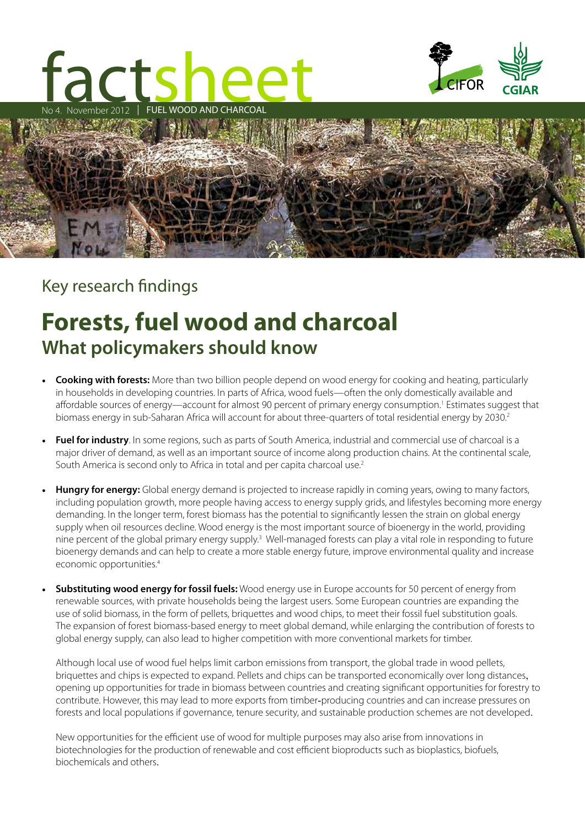# Fact Show The Charles of the Charles of the Charles of the Charles of the Charles of the Charles of the Charles of the Charles of the Charles of the Charles of the Charles of the Charles of the Charles of the Charles of th Sheet WOOD AND CHARCOAL





### Key research findings

## **Forests, fuel wood and charcoal What policymakers should know**

- **Cooking with forests:** More than two billion people depend on wood energy for cooking and heating, particularly in households in developing countries. In parts of Africa, wood fuels—often the only domestically available and affordable sources of energy—account for almost 90 percent of primary energy consumption.1 Estimates suggest that biomass energy in sub-Saharan Africa will account for about three-quarters of total residential energy by 2030.<sup>2</sup>
- **Fuel for industry**. In some regions, such as parts of South America, industrial and commercial use of charcoal is a major driver of demand, as well as an important source of income along production chains. At the continental scale, South America is second only to Africa in total and per capita charcoal use.2
- **Hungry for energy:** Global energy demand is projected to increase rapidly in coming years, owing to many factors, including population growth, more people having access to energy supply grids, and lifestyles becoming more energy demanding. In the longer term, forest biomass has the potential to significantly lessen the strain on global energy supply when oil resources decline. Wood energy is the most important source of bioenergy in the world, providing nine percent of the global primary energy supply.<sup>3</sup> Well-managed forests can play a vital role in responding to future bioenergy demands and can help to create a more stable energy future, improve environmental quality and increase economic opportunities.4
- **Substituting wood energy for fossil fuels:** Wood energy use in Europe accounts for 50 percent of energy from renewable sources, with private households being the largest users. Some European countries are expanding the use of solid biomass, in the form of pellets, briquettes and wood chips, to meet their fossil fuel substitution goals. The expansion of forest biomass-based energy to meet global demand, while enlarging the contribution of forests to global energy supply, can also lead to higher competition with more conventional markets for timber.

Although local use of wood fuel helps limit carbon emissions from transport, the global trade in wood pellets, briquettes and chips is expected to expand. Pellets and chips can be transported economically over long distances, opening up opportunities for trade in biomass between countries and creating significant opportunities for forestry to contribute. However, this may lead to more exports from timber-producing countries and can increase pressures on forests and local populations if governance, tenure security, and sustainable production schemes are not developed.

New opportunities for the efficient use of wood for multiple purposes may also arise from innovations in biotechnologies for the production of renewable and cost efficient bioproducts such as bioplastics, biofuels, biochemicals and others.